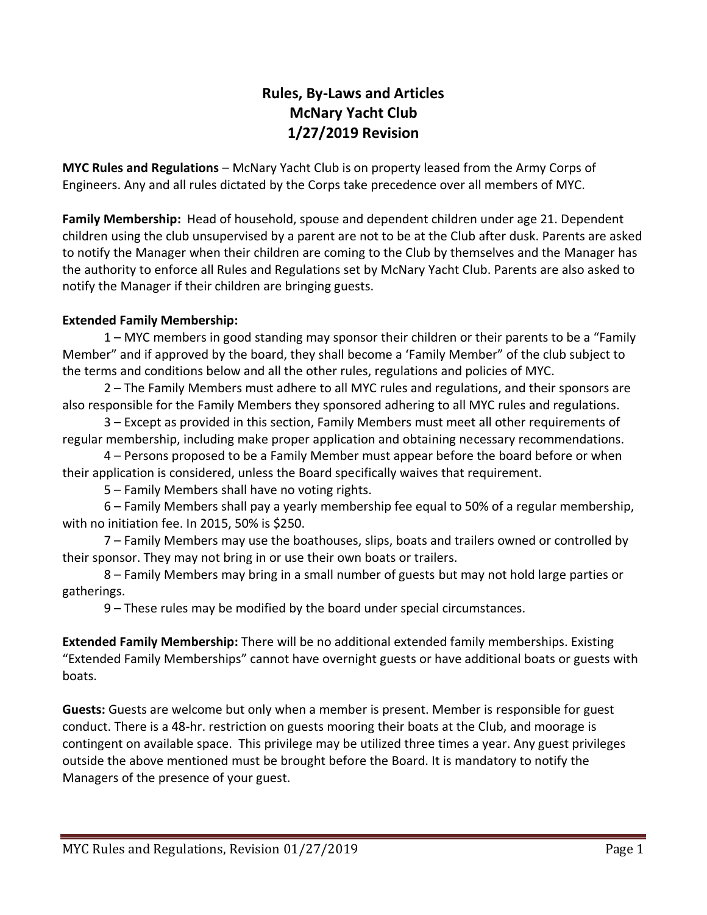### **Rules, By-Laws and Articles McNary Yacht Club 1/27/2019 Revision**

**MYC Rules and Regulations** – McNary Yacht Club is on property leased from the Army Corps of Engineers. Any and all rules dictated by the Corps take precedence over all members of MYC.

**Family Membership:** Head of household, spouse and dependent children under age 21. Dependent children using the club unsupervised by a parent are not to be at the Club after dusk. Parents are asked to notify the Manager when their children are coming to the Club by themselves and the Manager has the authority to enforce all Rules and Regulations set by McNary Yacht Club. Parents are also asked to notify the Manager if their children are bringing guests.

#### **Extended Family Membership:**

1 – MYC members in good standing may sponsor their children or their parents to be a "Family Member" and if approved by the board, they shall become a 'Family Member" of the club subject to the terms and conditions below and all the other rules, regulations and policies of MYC.

2 – The Family Members must adhere to all MYC rules and regulations, and their sponsors are also responsible for the Family Members they sponsored adhering to all MYC rules and regulations.

3 – Except as provided in this section, Family Members must meet all other requirements of regular membership, including make proper application and obtaining necessary recommendations.

4 – Persons proposed to be a Family Member must appear before the board before or when their application is considered, unless the Board specifically waives that requirement.

5 – Family Members shall have no voting rights.

6 – Family Members shall pay a yearly membership fee equal to 50% of a regular membership, with no initiation fee. In 2015, 50% is \$250.

7 – Family Members may use the boathouses, slips, boats and trailers owned or controlled by their sponsor. They may not bring in or use their own boats or trailers.

8 – Family Members may bring in a small number of guests but may not hold large parties or gatherings.

9 – These rules may be modified by the board under special circumstances.

**Extended Family Membership:** There will be no additional extended family memberships. Existing "Extended Family Memberships" cannot have overnight guests or have additional boats or guests with boats.

**Guests:** Guests are welcome but only when a member is present. Member is responsible for guest conduct. There is a 48-hr. restriction on guests mooring their boats at the Club, and moorage is contingent on available space. This privilege may be utilized three times a year. Any guest privileges outside the above mentioned must be brought before the Board. It is mandatory to notify the Managers of the presence of your guest.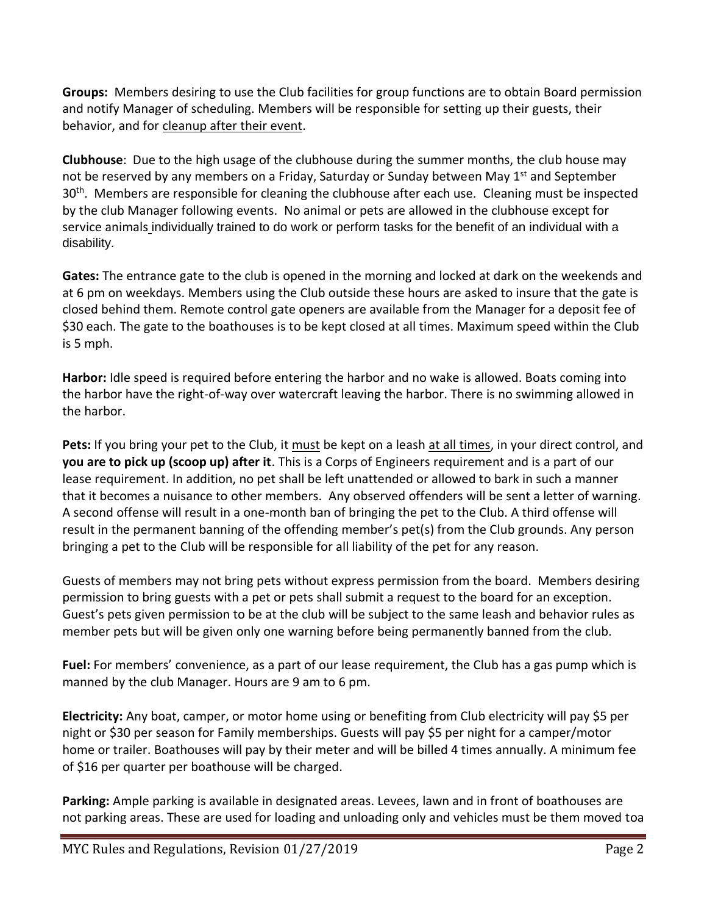**Groups:** Members desiring to use the Club facilities for group functions are to obtain Board permission and notify Manager of scheduling. Members will be responsible for setting up their guests, their behavior, and for cleanup after their event.

**Clubhouse**: Due to the high usage of the clubhouse during the summer months, the club house may not be reserved by any members on a Friday, Saturday or Sunday between May  $1<sup>st</sup>$  and September 30<sup>th</sup>. Members are responsible for cleaning the clubhouse after each use. Cleaning must be inspected by the club Manager following events. No animal or pets are allowed in the clubhouse except for service animals individually trained to do work or perform tasks for the benefit of an individual with a disability.

**Gates:** The entrance gate to the club is opened in the morning and locked at dark on the weekends and at 6 pm on weekdays. Members using the Club outside these hours are asked to insure that the gate is closed behind them. Remote control gate openers are available from the Manager for a deposit fee of \$30 each. The gate to the boathouses is to be kept closed at all times. Maximum speed within the Club is 5 mph.

**Harbor:** Idle speed is required before entering the harbor and no wake is allowed. Boats coming into the harbor have the right-of-way over watercraft leaving the harbor. There is no swimming allowed in the harbor.

**Pets:** If you bring your pet to the Club, it must be kept on a leash at all times, in your direct control, and **you are to pick up (scoop up) after it**. This is a Corps of Engineers requirement and is a part of our lease requirement. In addition, no pet shall be left unattended or allowed to bark in such a manner that it becomes a nuisance to other members. Any observed offenders will be sent a letter of warning. A second offense will result in a one-month ban of bringing the pet to the Club. A third offense will result in the permanent banning of the offending member's pet(s) from the Club grounds. Any person bringing a pet to the Club will be responsible for all liability of the pet for any reason.

Guests of members may not bring pets without express permission from the board. Members desiring permission to bring guests with a pet or pets shall submit a request to the board for an exception. Guest's pets given permission to be at the club will be subject to the same leash and behavior rules as member pets but will be given only one warning before being permanently banned from the club.

**Fuel:** For members' convenience, as a part of our lease requirement, the Club has a gas pump which is manned by the club Manager. Hours are 9 am to 6 pm.

**Electricity:** Any boat, camper, or motor home using or benefiting from Club electricity will pay \$5 per night or \$30 per season for Family memberships. Guests will pay \$5 per night for a camper/motor home or trailer. Boathouses will pay by their meter and will be billed 4 times annually. A minimum fee of \$16 per quarter per boathouse will be charged.

**Parking:** Ample parking is available in designated areas. Levees, lawn and in front of boathouses are not parking areas. These are used for loading and unloading only and vehicles must be them moved toa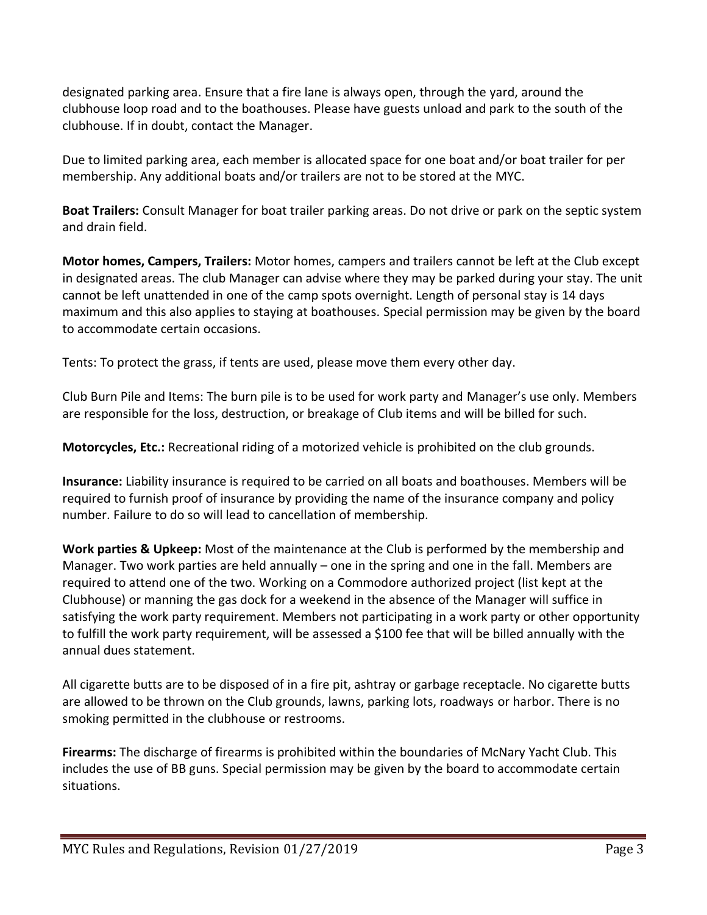designated parking area. Ensure that a fire lane is always open, through the yard, around the clubhouse loop road and to the boathouses. Please have guests unload and park to the south of the clubhouse. If in doubt, contact the Manager.

Due to limited parking area, each member is allocated space for one boat and/or boat trailer for per membership. Any additional boats and/or trailers are not to be stored at the MYC.

**Boat Trailers:** Consult Manager for boat trailer parking areas. Do not drive or park on the septic system and drain field.

**Motor homes, Campers, Trailers:** Motor homes, campers and trailers cannot be left at the Club except in designated areas. The club Manager can advise where they may be parked during your stay. The unit cannot be left unattended in one of the camp spots overnight. Length of personal stay is 14 days maximum and this also applies to staying at boathouses. Special permission may be given by the board to accommodate certain occasions.

Tents: To protect the grass, if tents are used, please move them every other day.

Club Burn Pile and Items: The burn pile is to be used for work party and Manager's use only. Members are responsible for the loss, destruction, or breakage of Club items and will be billed for such.

**Motorcycles, Etc.:** Recreational riding of a motorized vehicle is prohibited on the club grounds.

**Insurance:** Liability insurance is required to be carried on all boats and boathouses. Members will be required to furnish proof of insurance by providing the name of the insurance company and policy number. Failure to do so will lead to cancellation of membership.

**Work parties & Upkeep:** Most of the maintenance at the Club is performed by the membership and Manager. Two work parties are held annually – one in the spring and one in the fall. Members are required to attend one of the two. Working on a Commodore authorized project (list kept at the Clubhouse) or manning the gas dock for a weekend in the absence of the Manager will suffice in satisfying the work party requirement. Members not participating in a work party or other opportunity to fulfill the work party requirement, will be assessed a \$100 fee that will be billed annually with the annual dues statement.

All cigarette butts are to be disposed of in a fire pit, ashtray or garbage receptacle. No cigarette butts are allowed to be thrown on the Club grounds, lawns, parking lots, roadways or harbor. There is no smoking permitted in the clubhouse or restrooms.

**Firearms:** The discharge of firearms is prohibited within the boundaries of McNary Yacht Club. This includes the use of BB guns. Special permission may be given by the board to accommodate certain situations.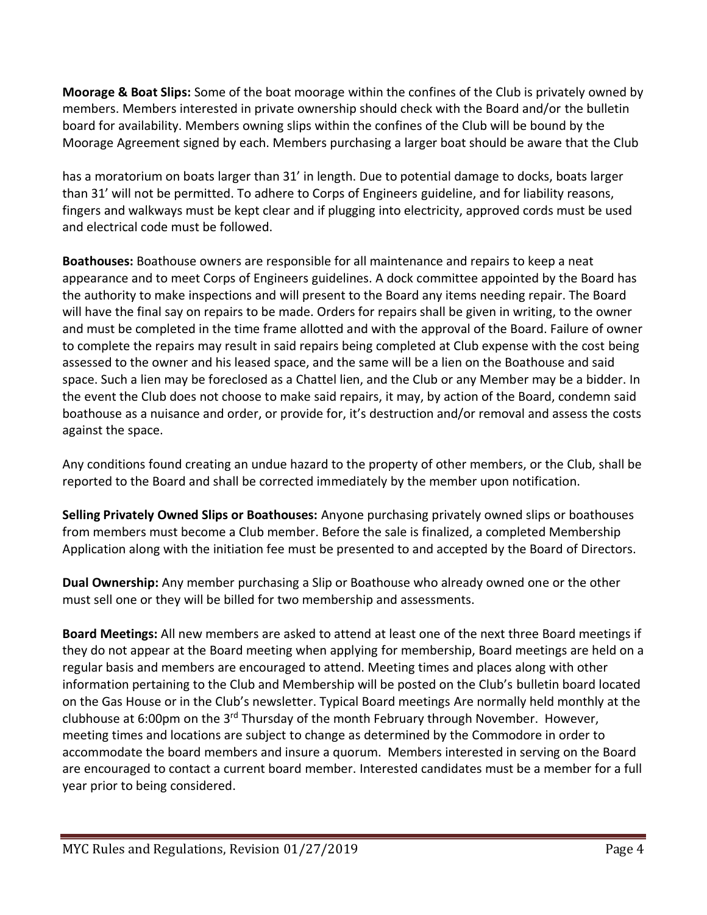**Moorage & Boat Slips:** Some of the boat moorage within the confines of the Club is privately owned by members. Members interested in private ownership should check with the Board and/or the bulletin board for availability. Members owning slips within the confines of the Club will be bound by the Moorage Agreement signed by each. Members purchasing a larger boat should be aware that the Club

has a moratorium on boats larger than 31' in length. Due to potential damage to docks, boats larger than 31' will not be permitted. To adhere to Corps of Engineers guideline, and for liability reasons, fingers and walkways must be kept clear and if plugging into electricity, approved cords must be used and electrical code must be followed.

**Boathouses:** Boathouse owners are responsible for all maintenance and repairs to keep a neat appearance and to meet Corps of Engineers guidelines. A dock committee appointed by the Board has the authority to make inspections and will present to the Board any items needing repair. The Board will have the final say on repairs to be made. Orders for repairs shall be given in writing, to the owner and must be completed in the time frame allotted and with the approval of the Board. Failure of owner to complete the repairs may result in said repairs being completed at Club expense with the cost being assessed to the owner and his leased space, and the same will be a lien on the Boathouse and said space. Such a lien may be foreclosed as a Chattel lien, and the Club or any Member may be a bidder. In the event the Club does not choose to make said repairs, it may, by action of the Board, condemn said boathouse as a nuisance and order, or provide for, it's destruction and/or removal and assess the costs against the space.

Any conditions found creating an undue hazard to the property of other members, or the Club, shall be reported to the Board and shall be corrected immediately by the member upon notification.

**Selling Privately Owned Slips or Boathouses:** Anyone purchasing privately owned slips or boathouses from members must become a Club member. Before the sale is finalized, a completed Membership Application along with the initiation fee must be presented to and accepted by the Board of Directors.

**Dual Ownership:** Any member purchasing a Slip or Boathouse who already owned one or the other must sell one or they will be billed for two membership and assessments.

**Board Meetings:** All new members are asked to attend at least one of the next three Board meetings if they do not appear at the Board meeting when applying for membership, Board meetings are held on a regular basis and members are encouraged to attend. Meeting times and places along with other information pertaining to the Club and Membership will be posted on the Club's bulletin board located on the Gas House or in the Club's newsletter. Typical Board meetings Are normally held monthly at the clubhouse at 6:00pm on the 3<sup>rd</sup> Thursday of the month February through November. However, meeting times and locations are subject to change as determined by the Commodore in order to accommodate the board members and insure a quorum. Members interested in serving on the Board are encouraged to contact a current board member. Interested candidates must be a member for a full year prior to being considered.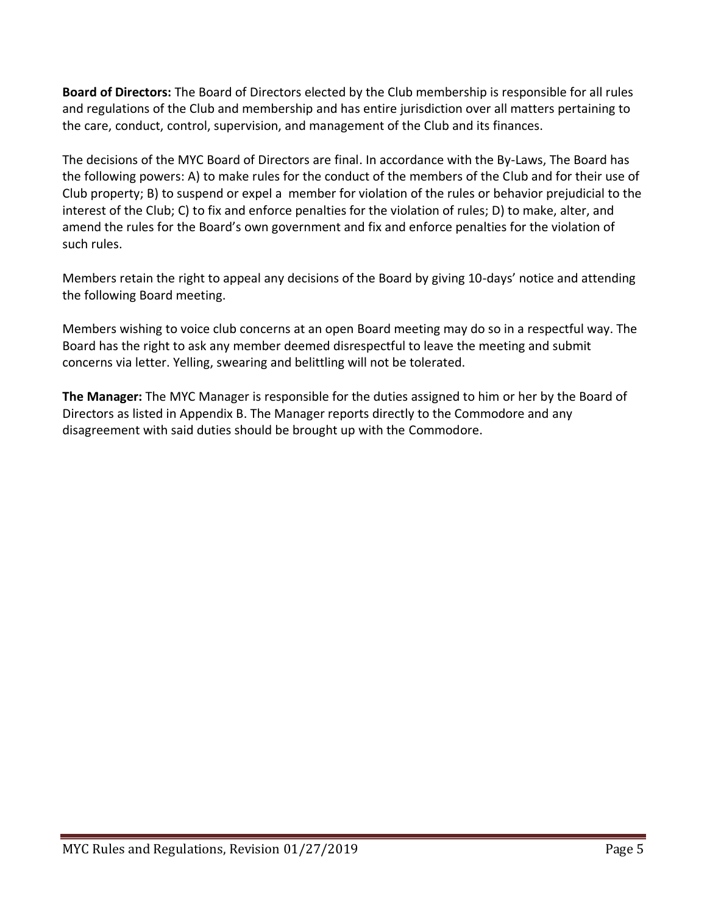**Board of Directors:** The Board of Directors elected by the Club membership is responsible for all rules and regulations of the Club and membership and has entire jurisdiction over all matters pertaining to the care, conduct, control, supervision, and management of the Club and its finances.

The decisions of the MYC Board of Directors are final. In accordance with the By-Laws, The Board has the following powers: A) to make rules for the conduct of the members of the Club and for their use of Club property; B) to suspend or expel a member for violation of the rules or behavior prejudicial to the interest of the Club; C) to fix and enforce penalties for the violation of rules; D) to make, alter, and amend the rules for the Board's own government and fix and enforce penalties for the violation of such rules.

Members retain the right to appeal any decisions of the Board by giving 10-days' notice and attending the following Board meeting.

Members wishing to voice club concerns at an open Board meeting may do so in a respectful way. The Board has the right to ask any member deemed disrespectful to leave the meeting and submit concerns via letter. Yelling, swearing and belittling will not be tolerated.

**The Manager:** The MYC Manager is responsible for the duties assigned to him or her by the Board of Directors as listed in Appendix B. The Manager reports directly to the Commodore and any disagreement with said duties should be brought up with the Commodore.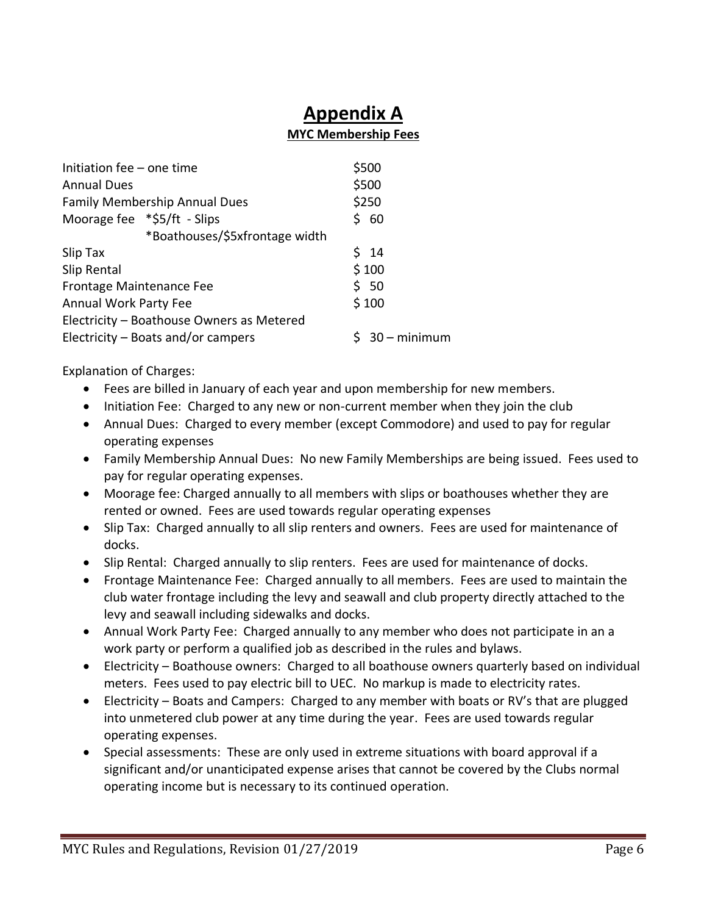# **Appendix A**

#### **MYC Membership Fees**

| \$500          |
|----------------|
| \$500          |
| \$250          |
| \$ 60          |
|                |
| $5 \t14$       |
| \$100          |
| \$50           |
| \$100          |
|                |
| $30 - minimum$ |
|                |

Explanation of Charges:

- Fees are billed in January of each year and upon membership for new members.
- Initiation Fee: Charged to any new or non-current member when they join the club
- Annual Dues: Charged to every member (except Commodore) and used to pay for regular operating expenses
- Family Membership Annual Dues: No new Family Memberships are being issued. Fees used to pay for regular operating expenses.
- Moorage fee: Charged annually to all members with slips or boathouses whether they are rented or owned. Fees are used towards regular operating expenses
- Slip Tax: Charged annually to all slip renters and owners. Fees are used for maintenance of docks.
- Slip Rental: Charged annually to slip renters. Fees are used for maintenance of docks.
- Frontage Maintenance Fee: Charged annually to all members. Fees are used to maintain the club water frontage including the levy and seawall and club property directly attached to the levy and seawall including sidewalks and docks.
- Annual Work Party Fee: Charged annually to any member who does not participate in an a work party or perform a qualified job as described in the rules and bylaws.
- Electricity Boathouse owners: Charged to all boathouse owners quarterly based on individual meters. Fees used to pay electric bill to UEC. No markup is made to electricity rates.
- Electricity Boats and Campers: Charged to any member with boats or RV's that are plugged into unmetered club power at any time during the year. Fees are used towards regular operating expenses.
- Special assessments: These are only used in extreme situations with board approval if a significant and/or unanticipated expense arises that cannot be covered by the Clubs normal operating income but is necessary to its continued operation.